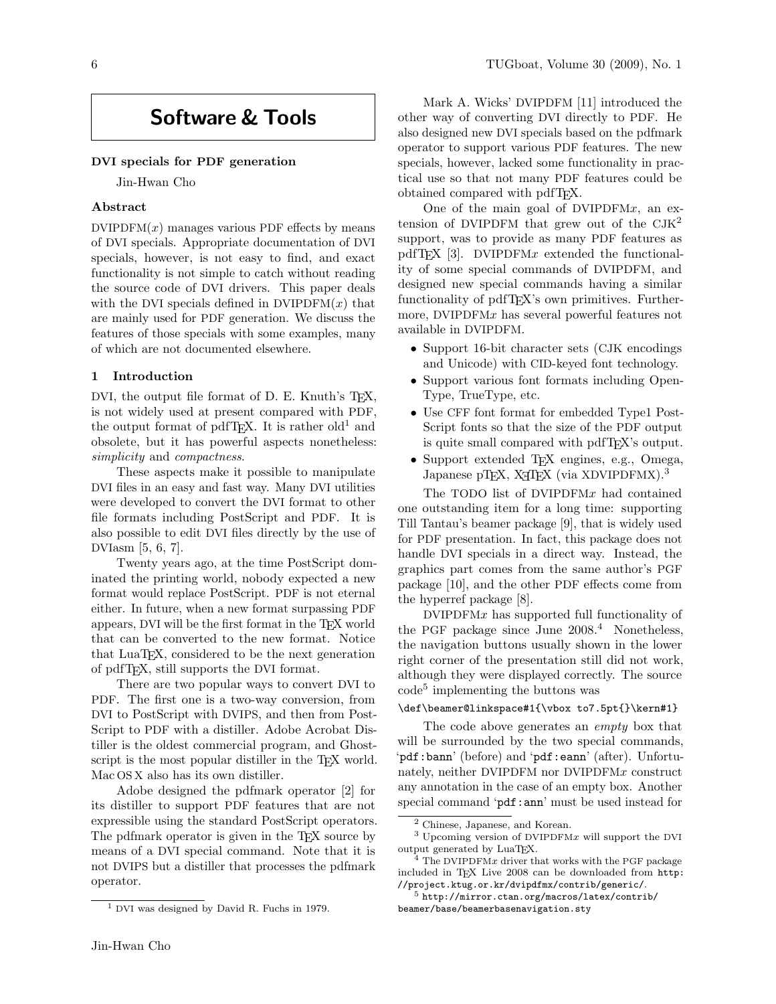# Software & Tools

## DVI specials for PDF generation

Jin-Hwan Cho

# Abstract

 $DVIPDFM(x)$  manages various PDF effects by means of DVI specials. Appropriate documentation of DVI specials, however, is not easy to find, and exact functionality is not simple to catch without reading the source code of DVI drivers. This paper deals with the DVI specials defined in  $DVIPDFM(x)$  that are mainly used for PDF generation. We discuss the features of those specials with some examples, many of which are not documented elsewhere.

#### 1 Introduction

DVI, the output file format of D. E. Knuth's TFX, is not widely used at present compared with PDF, the output format of pdfT<sub>EX</sub>. It is rather old<sup>1</sup> and obsolete, but it has powerful aspects nonetheless: simplicity and *compactness*.

These aspects make it possible to manipulate DVI files in an easy and fast way. Many DVI utilities were developed to convert the DVI format to other file formats including PostScript and PDF. It is also possible to edit DVI files directly by the use of DVIasm [5, 6, 7].

Twenty years ago, at the time PostScript dominated the printing world, nobody expected a new format would replace PostScript. PDF is not eternal either. In future, when a new format surpassing PDF appears, DVI will be the first format in the TEX world that can be converted to the new format. Notice that LuaTEX, considered to be the next generation of pdfTEX, still supports the DVI format.

There are two popular ways to convert DVI to PDF. The first one is a two-way conversion, from DVI to PostScript with DVIPS, and then from Post-Script to PDF with a distiller. Adobe Acrobat Distiller is the oldest commercial program, and Ghostscript is the most popular distiller in the T<sub>E</sub>X world. Mac OS X also has its own distiller.

Adobe designed the pdfmark operator [2] for its distiller to support PDF features that are not expressible using the standard PostScript operators. The pdfmark operator is given in the T<sub>EX</sub> source by means of a DVI special command. Note that it is not DVIPS but a distiller that processes the pdfmark operator.

Mark A. Wicks' DVIPDFM [11] introduced the other way of converting DVI directly to PDF. He also designed new DVI specials based on the pdfmark operator to support various PDF features. The new specials, however, lacked some functionality in practical use so that not many PDF features could be obtained compared with pdfTEX.

One of the main goal of  $DVIPDFMx$ , an extension of DVIPDFM that grew out of the  $CJK^2$ support, was to provide as many PDF features as pdfT<sub>F</sub>X [3]. DVIPDFMx extended the functionality of some special commands of DVIPDFM, and designed new special commands having a similar functionality of pdfT<sub>E</sub>X's own primitives. Furthermore, DVIPDFM $x$  has several powerful features not available in DVIPDFM.

- Support 16-bit character sets (CJK encodings and Unicode) with CID-keyed font technology.
- Support various font formats including Open-Type, TrueType, etc.
- Use CFF font format for embedded Type1 Post-Script fonts so that the size of the PDF output is quite small compared with pdfTEX's output.
- Support extended TEX engines, e.g., Omega, Japanese pTEX, X<sub>H</sub>TEX (via XDVIPDFMX).<sup>3</sup>

The TODO list of DVIPDFMx had contained one outstanding item for a long time: supporting Till Tantau's beamer package [9], that is widely used for PDF presentation. In fact, this package does not handle DVI specials in a direct way. Instead, the graphics part comes from the same author's PGF package [10], and the other PDF effects come from the hyperref package [8].

 $DVIPDFMx$  has supported full functionality of the PGF package since June 2008.<sup>4</sup> Nonetheless, the navigation buttons usually shown in the lower right corner of the presentation still did not work, although they were displayed correctly. The source code<sup>5</sup> implementing the buttons was

#### \def\beamer@linkspace#1{\vbox to7.5pt{}\kern#1}

The code above generates an *empty* box that will be surrounded by the two special commands, 'pdf:bann' (before) and 'pdf:eann' (after). Unfortunately, neither DVIPDFM nor DVIPDFMx construct any annotation in the case of an empty box. Another special command 'pdf:ann' must be used instead for

<sup>1</sup> DVI was designed by David R. Fuchs in 1979.

<sup>2</sup> Chinese, Japanese, and Korean.

<sup>3</sup> Upcoming version of DVIPDFMx will support the DVI output generated by LuaTEX.

 $4$  The DVIPDFMx driver that works with the PGF package included in TEX Live 2008 can be downloaded from http: //project.ktug.or.kr/dvipdfmx/contrib/generic/.

<sup>5</sup> http://mirror.ctan.org/macros/latex/contrib/ beamer/base/beamerbasenavigation.sty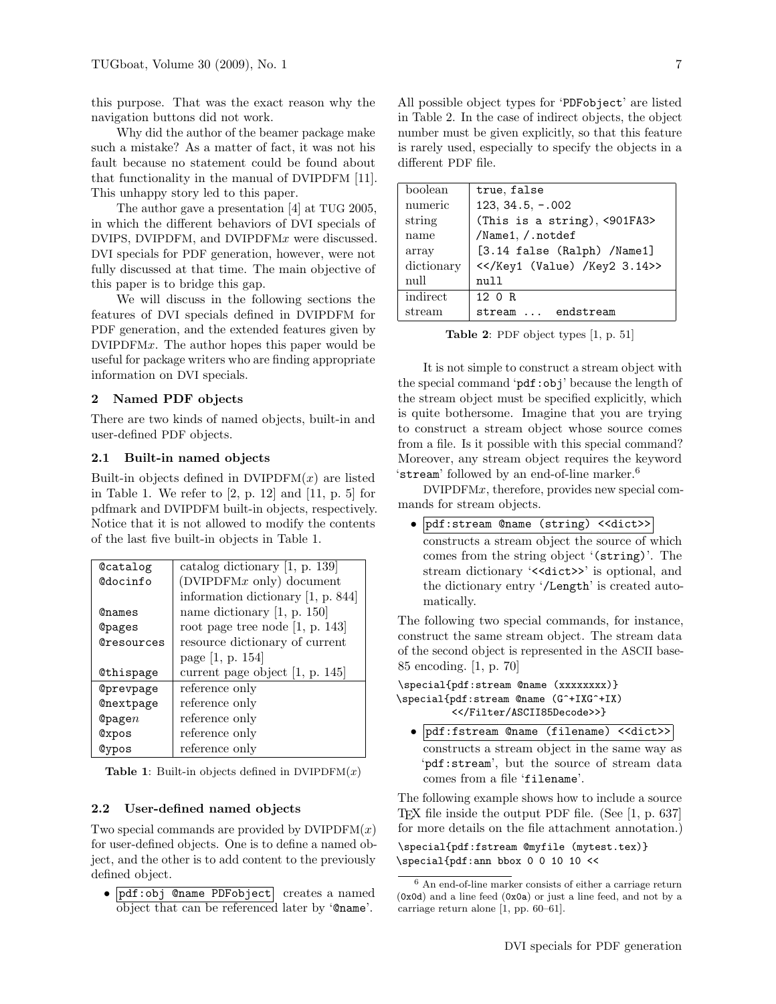this purpose. That was the exact reason why the navigation buttons did not work.

Why did the author of the beamer package make such a mistake? As a matter of fact, it was not his fault because no statement could be found about that functionality in the manual of DVIPDFM [11]. This unhappy story led to this paper.

The author gave a presentation [4] at TUG 2005, in which the different behaviors of DVI specials of DVIPS, DVIPDFM, and DVIPDFMx were discussed. DVI specials for PDF generation, however, were not fully discussed at that time. The main objective of this paper is to bridge this gap.

We will discuss in the following sections the features of DVI specials defined in DVIPDFM for PDF generation, and the extended features given by DVIPDFMx. The author hopes this paper would be useful for package writers who are finding appropriate information on DVI specials.

# 2 Named PDF objects

There are two kinds of named objects, built-in and user-defined PDF objects.

## 2.1 Built-in named objects

Built-in objects defined in  $DVIPDFM(x)$  are listed in Table 1. We refer to [2, p. 12] and [11, p. 5] for pdfmark and DVIPDFM built-in objects, respectively. Notice that it is not allowed to modify the contents of the last five built-in objects in Table 1.

| Ccatalog         | catalog dictionary $[1, p. 139]$     |
|------------------|--------------------------------------|
| <b>@docinfo</b>  | $(DVIPDFMx$ only) document           |
|                  | information dictionary $[1, p. 844]$ |
| <b>Qnames</b>    | name dictionary $[1, p. 150]$        |
| <b>@pages</b>    | root page tree node $[1, p. 143]$    |
| Cresources       | resource dictionary of current       |
|                  | page [1, p. 154]                     |
|                  |                                      |
| Cthispage        | current page object $[1, p. 145]$    |
| Oprevpage        | reference only                       |
| <b>Cnextpage</b> | reference only                       |
| $\Phi$ page $n$  | reference only                       |
| <b>@xpos</b>     | reference only                       |
| Cypos            | reference only                       |

**Table 1:** Built-in objects defined in  $DVIPDFM(x)$ 

## 2.2 User-defined named objects

Two special commands are provided by  $DVIPDFM(x)$ for user-defined objects. One is to define a named object, and the other is to add content to the previously defined object.

• pdf:obj @name PDFobject creates a named object that can be referenced later by '@name'.

| boolean    | true, false                                 |
|------------|---------------------------------------------|
| numeric    | $123, 34.5, -.002$                          |
| string     | (This is a string), <901FA3>                |
| name       | /Name1, /.notdef                            |
| array      | [3.14 false (Ralph) /Name1]                 |
| dictionary | <>                                          |
| null       | null                                        |
| indirect   | 12 $\Omega$ R                               |
| stream     | endstream<br>stream<br>$\sim$ $\sim$ $\sim$ |

Table 2: PDF object types [1, p. 51]

It is not simple to construct a stream object with the special command 'pdf:obj' because the length of the stream object must be specified explicitly, which is quite bothersome. Imagine that you are trying to construct a stream object whose source comes from a file. Is it possible with this special command? Moreover, any stream object requires the keyword 'stream' followed by an end-of-line marker.<sup>6</sup>

DVIPDFMx, therefore, provides new special commands for stream objects.

• pdf:stream @name (string) <<dict>> constructs a stream object the source of which comes from the string object '(string)'. The stream dictionary '<<dict>>' is optional, and the dictionary entry '/Length' is created automatically.

The following two special commands, for instance, construct the same stream object. The stream data of the second object is represented in the ASCII base-85 encoding. [1, p. 70]

\special{pdf:stream @name (xxxxxxxx)} \special{pdf:stream @name (G^+IXG^+IX) <</Filter/ASCII85Decode>>}

• pdf:fstream @name (filename) <<dict>> constructs a stream object in the same way as 'pdf:stream', but the source of stream data comes from a file 'filename'.

The following example shows how to include a source TEX file inside the output PDF file. (See [1, p. 637] for more details on the file attachment annotation.)

\special{pdf:fstream @myfile (mytest.tex)} \special{pdf:ann bbox 0 0 10 10 <<

<sup>6</sup> An end-of-line marker consists of either a carriage return (0x0d) and a line feed (0x0a) or just a line feed, and not by a carriage return alone [1, pp. 60–61].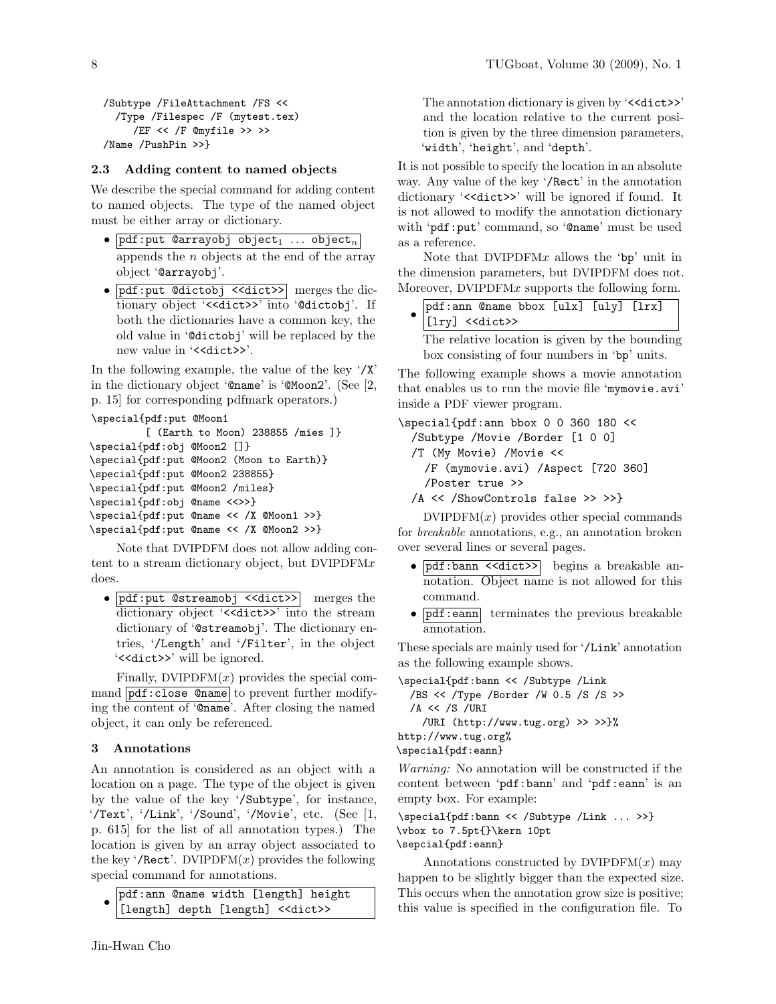```
/Subtype /FileAttachment /FS <<
 /Type /Filespec /F (mytest.tex)
    /EF << /F @myfile >> >>
/Name /PushPin >>}
```
# 2.3 Adding content to named objects

We describe the special command for adding content to named objects. The type of the named object must be either array or dictionary.

- $pdf:put$  @arrayobj object<sub>1</sub> ... object<sub>n</sub> appends the  $n$  objects at the end of the array object '@arrayobj'.
- pdf: put @dictobj <<dict>> merges the dictionary object '<< dict>>' into '@dictobj'. If both the dictionaries have a common key, the old value in '@dictobj' will be replaced by the new value in '<<dict>>'.

In the following example, the value of the key '/X' in the dictionary object '@name' is '@Moon2'. (See [2, p. 15] for corresponding pdfmark operators.)

```
\special{pdf:put @Moon1
         [ (Earth to Moon) 238855 /mies ]}
\special{pdf:obj @Moon2 []}
\special{pdf:put @Moon2 (Moon to Earth)}
\special{pdf:put @Moon2 238855}
\special{pdf:put @Moon2 /miles}
\special{pdf:obj @name <<>>}
\special{pdf:put @name << /X @Moon1 >>}
\special{pdf:put @name << /X @Moon2 >>}
```
Note that DVIPDFM does not allow adding content to a stream dictionary object, but  $DVIPDFMx$ does.

• pdf:put @streamobj <<dict>> merges the dictionary object '<<dict>>' into the stream dictionary of '@streamobj'. The dictionary entries, '/Length' and '/Filter', in the object '<<dict>>' will be ignored.

Finally, DVIPDFM $(x)$  provides the special command  $pdf:close$  Chame to prevent further modifying the content of '@name'. After closing the named object, it can only be referenced.

# 3 Annotations

An annotation is considered as an object with a location on a page. The type of the object is given by the value of the key '/Subtype', for instance, '/Text', '/Link', '/Sound', '/Movie', etc. (See [1, p. 615] for the list of all annotation types.) The location is given by an array object associated to the key '/Rect'. DVIPDFM $(x)$  provides the following special command for annotations.

```
•
 pdf:ann @name width [length] height
  [length] depth [length] <<dict>>
```
The annotation dictionary is given by '<<dict>>' and the location relative to the current position is given by the three dimension parameters, 'width', 'height', and 'depth'.

It is not possible to specify the location in an absolute way. Any value of the key '/Rect' in the annotation dictionary '<<dict>>' will be ignored if found. It is not allowed to modify the annotation dictionary with 'pdf:put' command, so '@name' must be used as a reference.

Note that  $DVIPDFMx$  allows the 'bp' unit in the dimension parameters, but DVIPDFM does not. Moreover, DVIPDFM $x$  supports the following form.

| pdf:ann @name bbox [ulx] [uly] [lrx]<br>[lry] < <dict>&gt;</dict> |  |  |  |
|-------------------------------------------------------------------|--|--|--|
|                                                                   |  |  |  |

The relative location is given by the bounding box consisting of four numbers in 'bp' units.

The following example shows a movie annotation that enables us to run the movie file 'mymovie.avi' inside a PDF viewer program.

```
\special{pdf:ann bbox 0 0 360 180 <<
 /Subtype /Movie /Border [1 0 0]
 /T (My Movie) /Movie <<
   /F (mymovie.avi) /Aspect [720 360]
    /Poster true >>
 /A << /ShowControls false >> >>}
```
 $DVIPDFM(x)$  provides other special commands for *breakable* annotations, e.g., an annotation broken over several lines or several pages.

- pdf:bann <<dict>> begins a breakable annotation. Object name is not allowed for this command.
- pdf:eann terminates the previous breakable annotation.

These specials are mainly used for '/Link' annotation as the following example shows.

\special{pdf:bann << /Subtype /Link /BS << /Type /Border /W 0.5 /S /S >>  $/A \ll /S$  /URI /URI (http://www.tug.org) >> >>}% http://www.tug.org% \special{pdf:eann}

Warning: No annotation will be constructed if the content between 'pdf:bann' and 'pdf:eann' is an empty box. For example:

\special{pdf:bann << /Subtype /Link ... >>} \vbox to 7.5pt{}\kern 10pt \sepcial{pdf:eann}

Annotations constructed by  $DVIPDFM(x)$  may happen to be slightly bigger than the expected size. This occurs when the annotation grow size is positive; this value is specified in the configuration file. To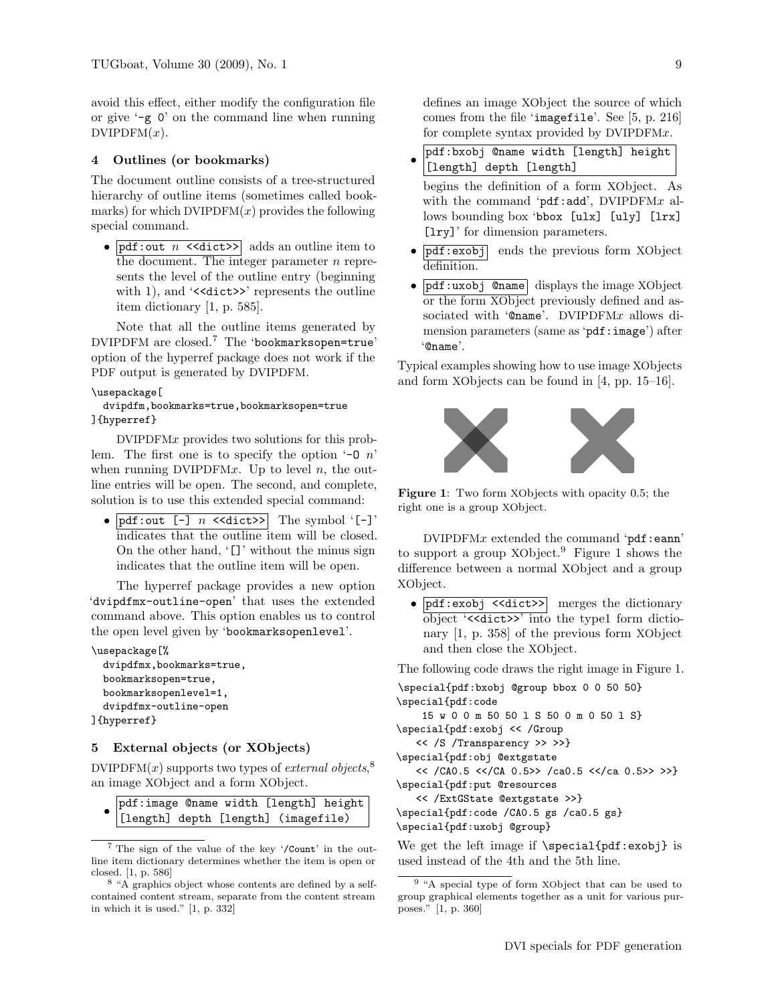avoid this effect, either modify the configuration file or give '-g 0' on the command line when running  $DVIPDFM(x)$ .

## 4 Outlines (or bookmarks)

The document outline consists of a tree-structured hierarchy of outline items (sometimes called bookmarks) for which  $DVIPDFM(x)$  provides the following special command.

•  $\nabla$  **pdf**: out *n*  $\langle \text{dist}\rangle$  adds an outline item to the document. The integer parameter  $n$  represents the level of the outline entry (beginning with 1), and '<<dict>>' represents the outline item dictionary [1, p. 585].

Note that all the outline items generated by DVIPDFM are closed.<sup>7</sup> The 'bookmarksopen=true' option of the hyperref package does not work if the PDF output is generated by DVIPDFM.

#### \usepackage[

## dvipdfm,bookmarks=true,bookmarksopen=true ]{hyperref}

DVIPDFMx provides two solutions for this problem. The first one is to specify the option  $\theta$ -0 n' when running DVIPDFMx. Up to level  $n$ , the outline entries will be open. The second, and complete, solution is to use this extended special command:

•  $pdf.out [-]$   $n \leq dist>>$  The symbol '[-]' indicates that the outline item will be closed. On the other hand, '[]' without the minus sign indicates that the outline item will be open.

The hyperref package provides a new option 'dvipdfmx-outline-open' that uses the extended command above. This option enables us to control the open level given by 'bookmarksopenlevel'.

```
\usepackage[%
 dvipdfmx,bookmarks=true,
 bookmarksopen=true,
 bookmarksopenlevel=1,
 dvipdfmx-outline-open
]{hyperref}
```
## 5 External objects (or XObjects)

DVIPDFM $(x)$  supports two types of *external objects*,<sup>8</sup> an image XObject and a form XObject.

|  | pdf:image @name width [length] height<br>[length] depth [length] (imagefile) |  |  |
|--|------------------------------------------------------------------------------|--|--|

<sup>7</sup> The sign of the value of the key '/Count' in the outline item dictionary determines whether the item is open or closed. [1, p. 586]

defines an image XObject the source of which comes from the file 'imagefile'. See [5, p. 216] for complete syntax provided by DVIPDFMx.

• pdf:bxobj @name width [length] height [length] depth [length]

begins the definition of a form XObject. As with the command ' $pdf:add'$ , DVIPDFMx allows bounding box 'bbox [ulx] [uly] [lrx] [lry]' for dimension parameters.

- $\nabla f:exobj$  ends the previous form XObject definition.
- pdf:uxobj @name displays the image XObject or the form XObject previously defined and associated with '@name'. DVIPDFMx allows dimension parameters (same as 'pdf:image') after '@name'.

Typical examples showing how to use image XObjects and form XObjects can be found in [4, pp. 15–16].



Figure 1: Two form XObjects with opacity 0.5; the right one is a group XObject.

 $DVIPDFMx$  extended the command 'pdf:eann' to support a group XObject.<sup>9</sup> Figure 1 shows the difference between a normal XObject and a group XObject.

• pdf:exobj <<dict>> merges the dictionary object '<<dict>>' into the type1 form dictionary [1, p. 358] of the previous form XObject and then close the XObject.

The following code draws the right image in Figure 1.

| \special{pdf:bxobj @group bbox 0 0 50 50} |
|-------------------------------------------|
| \special{pdf:code                         |
| 15 w 0 0 m 50 50 1 S 50 0 m 0 50 1 S}     |
| \special{pdf:exobj << /Group              |
| << /S /Transparency >> >>}                |
| \special{pdf:obj @extgstate               |
| << /CA0.5 <> /ca0.5 <> >>}                |
| \special{pdf:put @resources               |
| << /ExtGState @extgstate >>}              |
| \special{pdf:code /CAO.5 gs /caO.5 gs}    |
| \special{pdf:uxobj @group}                |
| $\mathbf{v}$                              |

We get the left image if  $\simeq$  is  $\geq$ used instead of the 4th and the 5th line.

<sup>8</sup> "A graphics object whose contents are defined by a selfcontained content stream, separate from the content stream in which it is used." [1, p. 332]

<sup>9</sup> "A special type of form XObject that can be used to group graphical elements together as a unit for various purposes." [1, p. 360]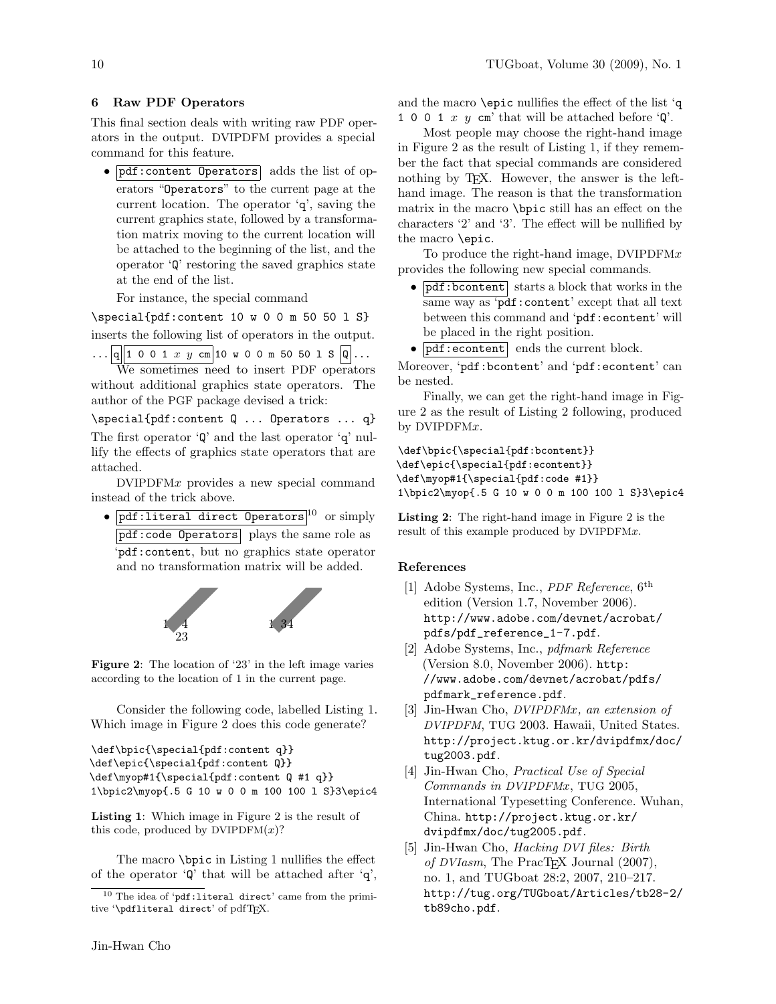## 6 Raw PDF Operators

This final section deals with writing raw PDF operators in the output. DVIPDFM provides a special command for this feature.

• pdf: content Operators adds the list of operators "Operators" to the current page at the current location. The operator 'q', saving the current graphics state, followed by a transformation matrix moving to the current location will be attached to the beginning of the list, and the operator 'Q' restoring the saved graphics state at the end of the list.

For instance, the special command

 $\simeq$   $\simeq$  10  $\simeq$  00  $\simeq$  50  $\simeq$  1 S

inserts the following list of operators in the output.

 $\ldots$  |q|| 1 0 0 1  $x$   $y$  cm| 10  $\texttt{w}$  0 0 m 50 50 1 S |Q|... We sometimes need to insert PDF operators without additional graphics state operators. The author of the PGF package devised a trick:

\special{pdf:content Q ... Operators ... q} The first operator 'Q' and the last operator 'q' nullify the effects of graphics state operators that are attached.

DVIPDFMx provides a new special command instead of the trick above.

•  $pdf:literal$  direct Operators<sup>10</sup> or simply pdf:code Operators plays the same role as 'pdf:content, but no graphics state operator and no transformation matrix will be added.



Figure 2: The location of '23' in the left image varies according to the location of 1 in the current page.

Consider the following code, labelled Listing 1. Which image in Figure 2 does this code generate?

```
\def\bpic{\special{pdf:content q}}
\def\epic{\special{pdf:content Q}}
\def\myop#1{\special{pdf:content Q #1 q}}
1\bpic2\myop{.5 G 10 w 0 0 m 100 100 l S}3\epic4
```
Listing 1: Which image in Figure 2 is the result of this code, produced by  $DVIPDFM(x)?$ 

The macro \bpic in Listing 1 nullifies the effect of the operator  $\mathbf{\hat{q}}'$  that will be attached after  $\mathbf{\hat{q}}'$ , and the macro \epic nullifies the effect of the list 'q 1 0 0 1 x y cm' that will be attached before  $\mathcal{Q}'$ .

Most people may choose the right-hand image in Figure 2 as the result of Listing 1, if they remember the fact that special commands are considered nothing by TEX. However, the answer is the lefthand image. The reason is that the transformation matrix in the macro \bpic still has an effect on the characters '2' and '3'. The effect will be nullified by the macro \epic.

To produce the right-hand image, DVIPDFM $x$ provides the following new special commands.

- $\bullet$  pdf:bcontent starts a block that works in the same way as 'pdf: content' except that all text between this command and 'pdf:econtent' will be placed in the right position.
- $\bullet$   $\boxed{\text{pdf:econtent}}$  ends the current block.

Moreover, 'pdf:bcontent' and 'pdf:econtent' can be nested.

Finally, we can get the right-hand image in Figure 2 as the result of Listing 2 following, produced by DVIPDFMx.

\def\bpic{\special{pdf:bcontent}} \def\epic{\special{pdf:econtent}} \def\myop#1{\special{pdf:code #1}} 1\bpic2\myop{.5 G 10 w 0 0 m 100 100 l S}3\epic4

Listing 2: The right-hand image in Figure 2 is the result of this example produced by DVIPDFMx.

#### References

- [1] Adobe Systems, Inc., *PDF Reference*, 6<sup>th</sup> edition (Version 1.7, November 2006). http://www.adobe.com/devnet/acrobat/ pdfs/pdf\_reference\_1-7.pdf.
- [2] Adobe Systems, Inc., pdfmark Reference (Version 8.0, November 2006). http: //www.adobe.com/devnet/acrobat/pdfs/ pdfmark\_reference.pdf.
- [3] Jin-Hwan Cho, DVIPDFMx, an extension of DVIPDFM, TUG 2003. Hawaii, United States. http://project.ktug.or.kr/dvipdfmx/doc/ tug2003.pdf.
- [4] Jin-Hwan Cho, Practical Use of Special Commands in DVIPDFMx, TUG 2005, International Typesetting Conference. Wuhan, China. http://project.ktug.or.kr/ dvipdfmx/doc/tug2005.pdf.
- [5] Jin-Hwan Cho, Hacking DVI files: Birth of DVIasm, The PracT<sub>F</sub>X Journal  $(2007)$ , no. 1, and TUGboat 28:2, 2007, 210–217. http://tug.org/TUGboat/Articles/tb28-2/ tb89cho.pdf.

 $^{10}$  The idea of  $\mathsf{'pdf}\text{:literal direct'}$  came from the primitive '\pdfliteral direct' of pdfTFX.